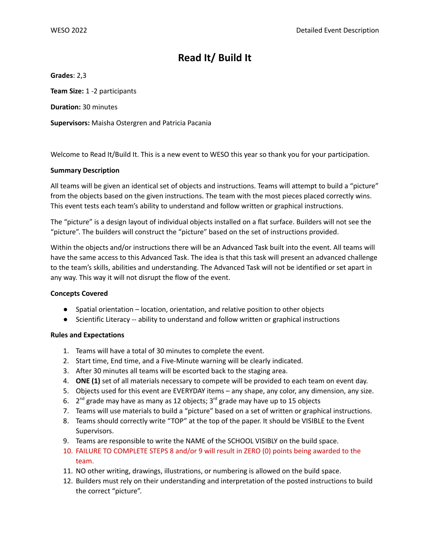# **Read It/ Build It**

**Grades**: 2,3

**Team Size:** 1 -2 participants

**Duration:** 30 minutes

**Supervisors:** Maisha Ostergren and Patricia Pacania

Welcome to Read It/Build It. This is a new event to WESO this year so thank you for your participation.

## **Summary Description**

All teams will be given an identical set of objects and instructions. Teams will attempt to build a "picture" from the objects based on the given instructions. The team with the most pieces placed correctly wins. This event tests each team's ability to understand and follow written or graphical instructions.

The "picture" is a design layout of individual objects installed on a flat surface. Builders will not see the "picture". The builders will construct the "picture" based on the set of instructions provided.

Within the objects and/or instructions there will be an Advanced Task built into the event. All teams will have the same access to this Advanced Task. The idea is that this task will present an advanced challenge to the team's skills, abilities and understanding. The Advanced Task will not be identified or set apart in any way. This way it will not disrupt the flow of the event.

## **Concepts Covered**

- Spatial orientation location, orientation, and relative position to other objects
- Scientific Literacy -- ability to understand and follow written or graphical instructions

## **Rules and Expectations**

- 1. Teams will have a total of 30 minutes to complete the event.
- 2. Start time, End time, and a Five-Minute warning will be clearly indicated.
- 3. After 30 minutes all teams will be escorted back to the staging area.
- 4. **ONE (1)** set of all materials necessary to compete will be provided to each team on event day.
- 5. Objects used for this event are EVERYDAY items any shape, any color, any dimension, any size.
- 6.  $2^{nd}$  grade may have as many as 12 objects;  $3^{rd}$  grade may have up to 15 objects
- 7. Teams will use materials to build a "picture" based on a set of written or graphical instructions.
- 8. Teams should correctly write "TOP" at the top of the paper. It should be VISIBLE to the Event Supervisors.
- 9. Teams are responsible to write the NAME of the SCHOOL VISIBLY on the build space.
- 10. FAILURE TO COMPLETE STEPS 8 and/or 9 will result in ZERO (0) points being awarded to the team.
- 11. NO other writing, drawings, illustrations, or numbering is allowed on the build space.
- 12. Builders must rely on their understanding and interpretation of the posted instructions to build the correct "picture".